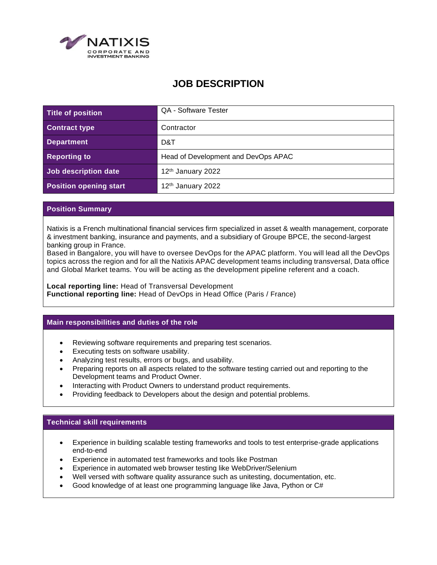

# **JOB DESCRIPTION**

| Title of position             | QA - Software Tester                |
|-------------------------------|-------------------------------------|
| <b>Contract type</b>          | Contractor                          |
| <b>Department</b>             | D&T                                 |
| <b>Reporting to</b>           | Head of Development and DevOps APAC |
| Job description date          | 12 <sup>th</sup> January 2022       |
| <b>Position opening start</b> | 12 <sup>th</sup> January 2022       |

#### **Position Summary**

Natixis is a French multinational financial services firm specialized in asset & wealth management, corporate & investment banking, insurance and payments, and a subsidiary of Groupe BPCE, the second-largest banking group in France.

Based in Bangalore, you will have to oversee DevOps for the APAC platform. You will lead all the DevOps topics across the region and for all the Natixis APAC development teams including transversal, Data office and Global Market teams. You will be acting as the development pipeline referent and a coach.

**Local reporting line:** Head of Transversal Development **Functional reporting line:** Head of DevOps in Head Office (Paris / France)

#### **Main responsibilities and duties of the role**

- Reviewing software requirements and preparing test scenarios.
- Executing tests on software usability.
- Analyzing test results, errors or bugs, and usability.
- Preparing reports on all aspects related to the software testing carried out and reporting to the Development teams and Product Owner.
- Interacting with Product Owners to understand product requirements.
- Providing feedback to Developers about the design and potential problems.

### **Technical skill requirements**

- Experience in building scalable testing frameworks and tools to test enterprise-grade applications end-to-end
- Experience in automated test frameworks and tools like Postman
- Experience in automated web browser testing like WebDriver/Selenium
- Well versed with software quality assurance such as unitesting, documentation, etc.
- Good knowledge of at least one programming language like Java, Python or C#